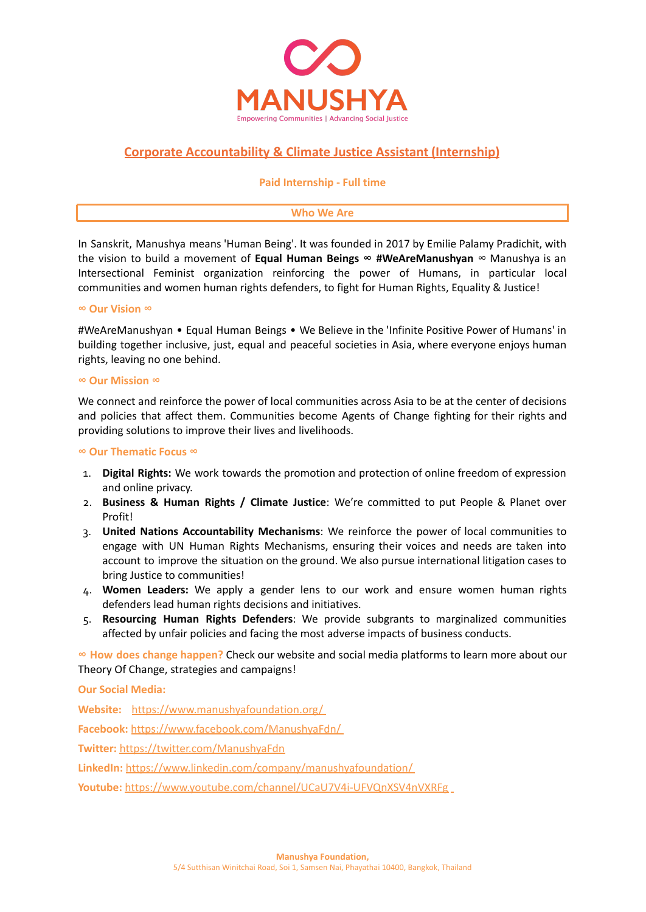

# **Corporate Accountability & Climate Justice Assistant (Internship)**

### **Paid Internship - Full time**

#### **Who We Are**

In Sanskrit, Manushya means 'Human Being'. It was founded in 2017 by Emilie Palamy Pradichit, with the vision to build a movement of **Equal Human Beings ∞ #WeAreManushyan** ∞ Manushya is an Intersectional Feminist organization reinforcing the power of Humans, in particular local communities and women human rights defenders, to fight for Human Rights, Equality & Justice!

#### **∞ Our Vision ∞**

#WeAreManushyan • Equal Human Beings • We Believe in the 'Infinite Positive Power of Humans' in building together inclusive, just, equal and peaceful societies in Asia, where everyone enjoys human rights, leaving no one behind.

#### **∞ Our Mission ∞**

We connect and reinforce the power of local communities across Asia to be at the center of decisions and policies that affect them. Communities become Agents of Change fighting for their rights and providing solutions to improve their lives and livelihoods.

#### **∞ Our Thematic Focus ∞**

- 1. **Digital Rights:** We work towards the promotion and protection of online freedom of expression and online privacy.
- 2. **Business & Human Rights / Climate Justice**: We're committed to put People & Planet over Profit!
- 3. **United Nations Accountability Mechanisms**: We reinforce the power of local communities to engage with UN Human Rights Mechanisms, ensuring their voices and needs are taken into account to improve the situation on the ground. We also pursue international litigation cases to bring Justice to communities!
- 4. **Women Leaders:** We apply a gender lens to our work and ensure women human rights defenders lead human rights decisions and initiatives.
- 5. **Resourcing Human Rights Defenders**: We provide subgrants to marginalized communities affected by unfair policies and facing the most adverse impacts of business conducts.

**∞ How does change happen?** Check our website and social media platforms to learn more about our Theory Of Change, strategies and campaigns!

**Our Social Media:**

**Website:** <https://www.manushyafoundation.org/> **Facebook:** <https://www.facebook.com/ManushyaFdn/> **Twitter:** <https://twitter.com/ManushyaFdn> **LinkedIn:** <https://www.linkedin.com/company/manushyafoundation/> **Youtube:** <https://www.youtube.com/channel/UCaU7V4i-UFVQnXSV4nVXRFg>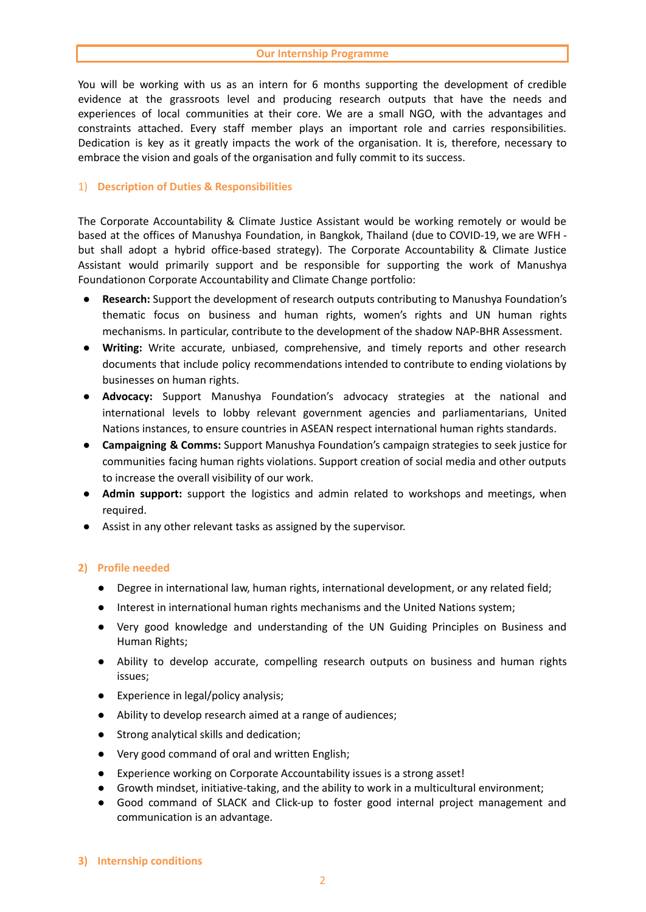You will be working with us as an intern for 6 months supporting the development of credible evidence at the grassroots level and producing research outputs that have the needs and experiences of local communities at their core. We are a small NGO, with the advantages and constraints attached. Every staff member plays an important role and carries responsibilities. Dedication is key as it greatly impacts the work of the organisation. It is, therefore, necessary to embrace the vision and goals of the organisation and fully commit to its success.

# 1) **Description of Duties & Responsibilities**

The Corporate Accountability & Climate Justice Assistant would be working remotely or would be based at the offices of Manushya Foundation, in Bangkok, Thailand (due to COVID-19, we are WFH but shall adopt a hybrid office-based strategy). The Corporate Accountability & Climate Justice Assistant would primarily support and be responsible for supporting the work of Manushya Foundationon Corporate Accountability and Climate Change portfolio:

- **Research:** Support the development of research outputs contributing to Manushya Foundation's thematic focus on business and human rights, women's rights and UN human rights mechanisms. In particular, contribute to the development of the shadow NAP-BHR Assessment.
- **Writing:** Write accurate, unbiased, comprehensive, and timely reports and other research documents that include policy recommendations intended to contribute to ending violations by businesses on human rights.
- **Advocacy:** Support Manushya Foundation's advocacy strategies at the national and international levels to lobby relevant government agencies and parliamentarians, United Nations instances, to ensure countries in ASEAN respect international human rights standards.
- **Campaigning & Comms:** Support Manushya Foundation's campaign strategies to seek justice for communities facing human rights violations. Support creation of social media and other outputs to increase the overall visibility of our work.
- **Admin support:** support the logistics and admin related to workshops and meetings, when required.
- Assist in any other relevant tasks as assigned by the supervisor.

### **2) Profile needed**

- Degree in international law, human rights, international development, or any related field;
- Interest in international human rights mechanisms and the United Nations system;
- Very good knowledge and understanding of the UN Guiding Principles on Business and Human Rights;
- Ability to develop accurate, compelling research outputs on business and human rights issues;
- Experience in legal/policy analysis;
- Ability to develop research aimed at a range of audiences;
- Strong analytical skills and dedication;
- Very good command of oral and written English;
- **●** Experience working on Corporate Accountability issues is a strong asset!
- Growth mindset, initiative-taking, and the ability to work in a multicultural environment;
- **●** Good command of SLACK and Click-up to foster good internal project management and communication is an advantage.